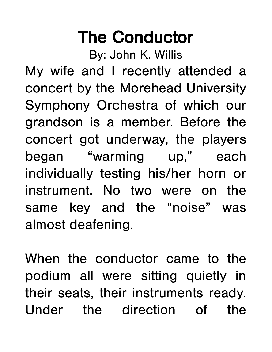## The Conductor

By: John K. Willis

My wife and I recently attended a concert by the Morehead University Symphony Orchestra of which our grandson is a member. Before the concert got underway, the players began "warming up," each individually testing his/her horn or instrument. No two were on the same key and the "noise" was almost deafening.

When the conductor came to the podium all were sitting quietly in their seats, their instruments ready. Under the direction of the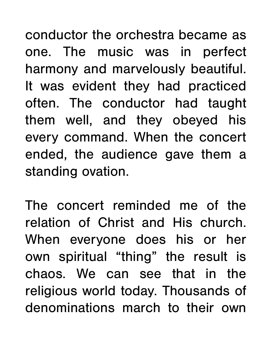conductor the orchestra became as one. The music was in perfect harmony and marvelously beautiful. It was evident they had practiced often. The conductor had taught them well, and they obeyed his every command. When the concert ended, the audience gave them a standing ovation.

The concert reminded me of the relation of Christ and His church. When everyone does his or her own spiritual "thing" the result is chaos. We can see that in the religious world today. Thousands of denominations march to their own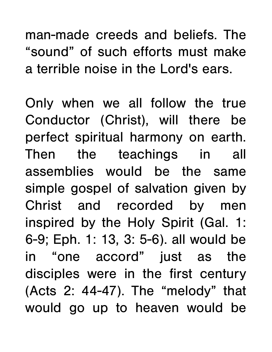man-made creeds and beliefs. The "sound" of such efforts must make a terrible noise in the Lord's ears.

Only when we all follow the true Conductor (Christ), will there be perfect spiritual harmony on earth. Then the teachings in all assemblies would be the same simple gospel of salvation given by Christ and recorded by men inspired by the Holy Spirit (Gal. 1: 6-9; Eph. 1: 13, 3: 5-6). all would be in "one accord" just as the disciples were in the first century (Acts 2: 44-47). The "melody" that would go up to heaven would be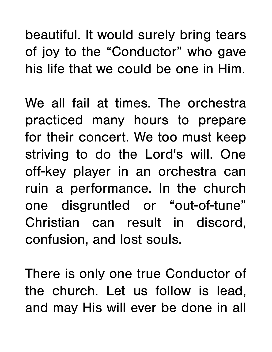beautiful. It would surely bring tears of joy to the "Conductor" who gave his life that we could be one in Him.

We all fail at times. The orchestra practiced many hours to prepare for their concert. We too must keep striving to do the Lord's will. One off-key player in an orchestra can ruin a performance. In the church one disgruntled or "out-of-tune" Christian can result in discord, confusion, and lost souls.

There is only one true Conductor of the church. Let us follow is lead, and may His will ever be done in all